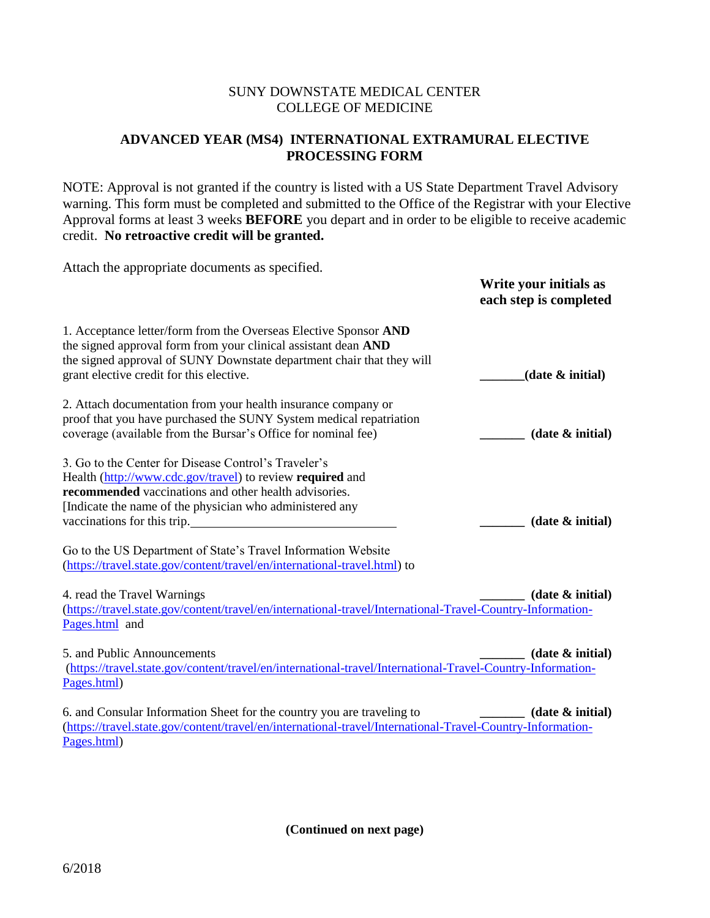## SUNY DOWNSTATE MEDICAL CENTER COLLEGE OF MEDICINE

# **ADVANCED YEAR (MS4) INTERNATIONAL EXTRAMURAL ELECTIVE PROCESSING FORM**

NOTE: Approval is not granted if the country is listed with a US State Department Travel Advisory warning. This form must be completed and submitted to the Office of the Registrar with your Elective Approval forms at least 3 weeks **BEFORE** you depart and in order to be eligible to receive academic credit. **No retroactive credit will be granted.** 

| Attach the appropriate documents as specified.                                                                                                                                                                                                                                                                                                                                                                      | Write your initials as<br>each step is completed |
|---------------------------------------------------------------------------------------------------------------------------------------------------------------------------------------------------------------------------------------------------------------------------------------------------------------------------------------------------------------------------------------------------------------------|--------------------------------------------------|
| 1. Acceptance letter/form from the Overseas Elective Sponsor AND<br>the signed approval form from your clinical assistant dean AND<br>the signed approval of SUNY Downstate department chair that they will<br>grant elective credit for this elective.                                                                                                                                                             | (date & initial)                                 |
| 2. Attach documentation from your health insurance company or<br>proof that you have purchased the SUNY System medical repatriation<br>coverage (available from the Bursar's Office for nominal fee)                                                                                                                                                                                                                | (data & initial)                                 |
| 3. Go to the Center for Disease Control's Traveler's<br>Health (http://www.cdc.gov/travel) to review required and<br>recommended vaccinations and other health advisories.<br>[Indicate the name of the physician who administered any<br>vaccinations for this trip.<br>Go to the US Department of State's Travel Information Website<br>(https://travel.state.gov/content/travel/en/international-travel.html) to | (data & initial)                                 |
| 4. read the Travel Warnings<br>(https://travel.state.gov/content/travel/en/international-travel/International-Travel-Country-Information-<br>Pages.html and                                                                                                                                                                                                                                                         | (data & initial)                                 |
| 5. and Public Announcements<br>(https://travel.state.gov/content/travel/en/international-travel/International-Travel-Country-Information-<br>Pages.html)                                                                                                                                                                                                                                                            | (data & initial)                                 |
| 6. and Consular Information Sheet for the country you are traveling to<br>(https://travel.state.gov/content/travel/en/international-travel/International-Travel-Country-Information-<br>Pages.html)                                                                                                                                                                                                                 | (data & initial)                                 |

**(Continued on next page)**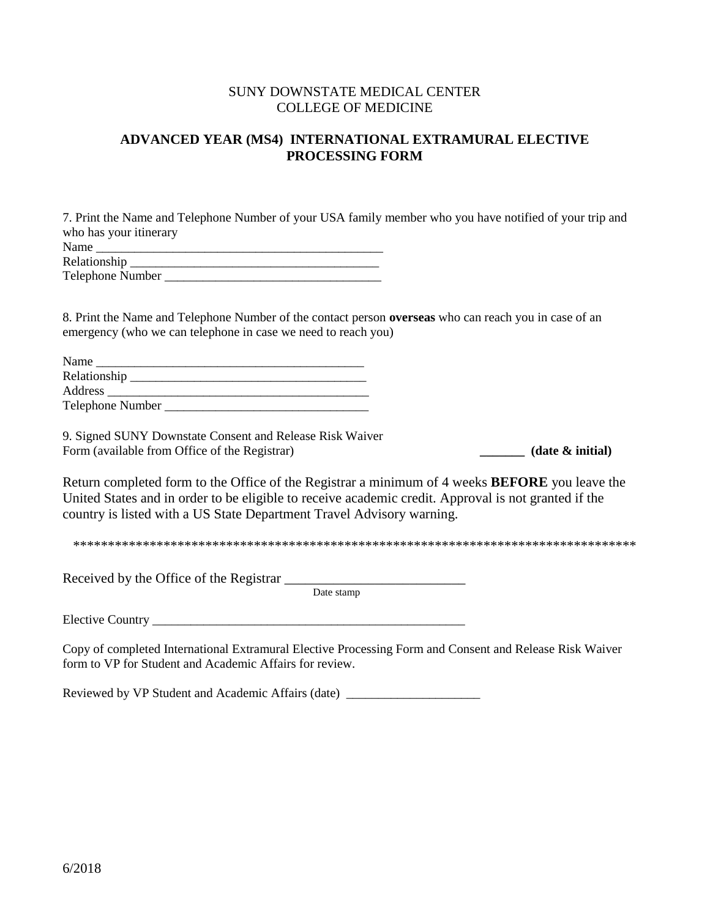### SUNY DOWNSTATE MEDICAL CENTER COLLEGE OF MEDICINE

# **ADVANCED YEAR (MS4) INTERNATIONAL EXTRAMURAL ELECTIVE PROCESSING FORM**

7. Print the Name and Telephone Number of your USA family member who you have notified of your trip and who has your itinerary

| Name             |  |
|------------------|--|
| Relationship     |  |
| Telephone Number |  |

8. Print the Name and Telephone Number of the contact person **overseas** who can reach you in case of an emergency (who we can telephone in case we need to reach you)

| Name                    |  |
|-------------------------|--|
| Relationship            |  |
| Address                 |  |
| <b>Telephone Number</b> |  |

9. Signed SUNY Downstate Consent and Release Risk Waiver Form (available from Office of the Registrar) **\_\_\_\_\_\_\_\_\_ (date & initial)** 

Return completed form to the Office of the Registrar a minimum of 4 weeks **BEFORE** you leave the United States and in order to be eligible to receive academic credit. Approval is not granted if the country is listed with a US State Department Travel Advisory warning.

\*\*\*\*\*\*\*\*\*\*\*\*\*\*\*\*\*\*\*\*\*\*\*\*\*\*\*\*\*\*\*\*\*\*\*\*\*\*\*\*\*\*\*\*\*\*\*\*\*\*\*\*\*\*\*\*\*\*\*\*\*\*\*\*\*\*\*\*\*\*\*\*\*\*\*\*\*\*\*\*\*

Received by the Office of the Registrar \_\_\_\_\_\_\_\_\_\_\_\_\_\_\_\_\_\_\_\_\_\_\_\_\_\_

Date stamp

Elective Country \_\_\_\_\_\_\_\_\_\_\_\_\_\_\_\_\_\_\_\_\_\_\_\_\_\_\_\_\_\_\_\_\_\_\_\_\_\_\_\_\_\_\_\_\_\_\_\_\_

Copy of completed International Extramural Elective Processing Form and Consent and Release Risk Waiver form to VP for Student and Academic Affairs for review.

Reviewed by VP Student and Academic Affairs (date) \_\_\_\_\_\_\_\_\_\_\_\_\_\_\_\_\_\_\_\_\_\_\_\_\_\_\_\_\_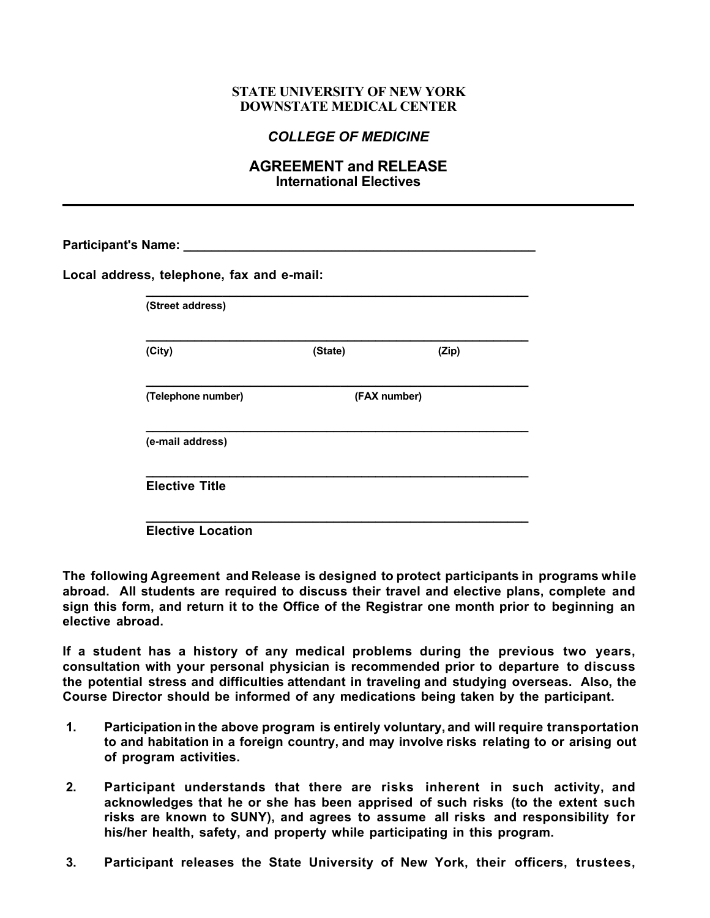### **STATE UNIVERSITY OF NEW YORK DOWNSTATE MEDICAL CENTER**

# *COLLEGE OF MEDICINE*

## **AGREEMENT and RELEASE International Electives**

| (Street address)   |              |       |
|--------------------|--------------|-------|
| (City)             | (State)      | (Zip) |
| (Telephone number) | (FAX number) |       |
| (e-mail address)   |              |       |

**Elective Location** 

**The following Agreement and Release is designed to protect participants in programs while abroad. All students are required to discuss their travel and elective plans, complete and sign this form, and return it to the Office of the Registrar one month prior to beginning an elective abroad.** 

**If a student has a history of any medical problems during the previous two years, consultation with your personal physician is recommended prior to departure to discuss the potential stress and difficulties attendant in traveling and studying overseas. Also, the Course Director should be informed of any medications being taken by the participant.**

- **1. Participation in the above program is entirely voluntary, and will require transportation to and habitation in a foreign country, and may involve risks relating to or arising out of program activities.**
- **2. Participant understands that there are risks inherent in such activity, and acknowledges that he or she has been apprised of such risks (to the extent such risks are known to SUNY), and agrees to assume all risks and responsibility for his/her health, safety, and property while participating in this program.**
- **3. Participant releases the State University of New York, their officers, trustees,**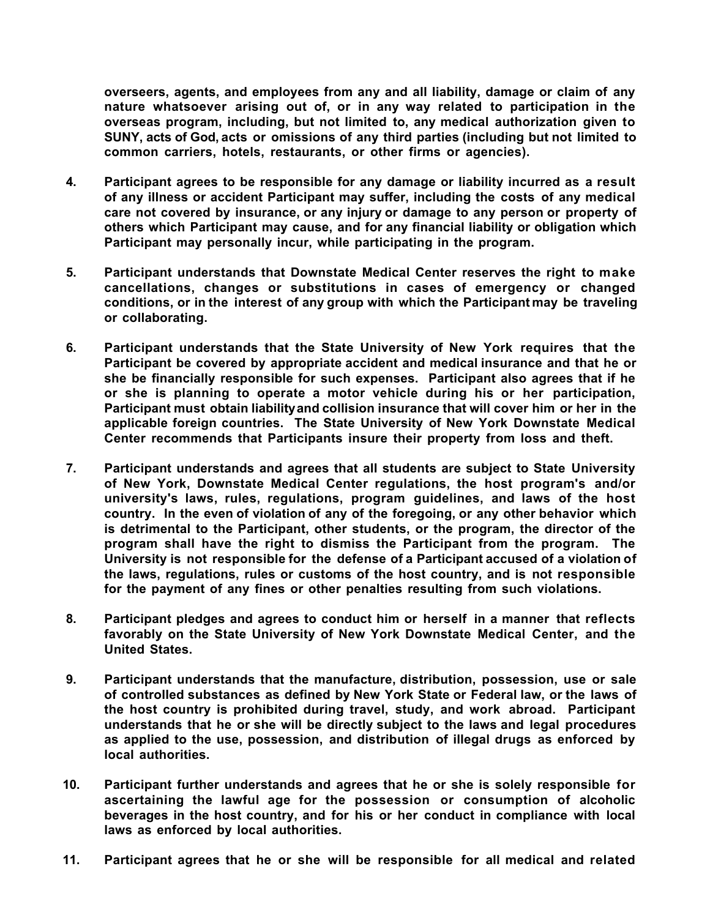**overseers, agents, and employees from any and all liability, damage or claim of any nature whatsoever arising out of, or in any way related to participation in the overseas program, including, but not limited to, any medical authorization given to SUNY, acts of God, acts or omissions of any third parties (including but not limited to common carriers, hotels, restaurants, or other firms or agencies).**

- **4. Participant agrees to be responsible for any damage or liability incurred as a result of any illness or accident Participant may suffer, including the costs of any medical care not covered by insurance, or any injury or damage to any person or property of others which Participant may cause, and for any financial liability or obligation which Participant may personally incur, while participating in the program.**
- **5. Participant understands that Downstate Medical Center reserves the right to make cancellations, changes or substitutions in cases of emergency or changed conditions, or in the interest of any group with which the Participant may be traveling or collaborating.**
- **6. Participant understands that the State University of New York requires that the Participant be covered by appropriate accident and medical insurance and that he or she be financially responsible for such expenses. Participant also agrees that if he or she is planning to operate a motor vehicle during his or her participation, Participant must obtain liability and collision insurance that will cover him or her in the applicable foreign countries. The State University of New York Downstate Medical Center recommends that Participants insure their property from loss and theft.**
- **7. Participant understands and agrees that all students are subject to State University of New York, Downstate Medical Center regulations, the host program's and/or university's laws, rules, regulations, program guidelines, and laws of the host country. In the even of violation of any of the foregoing, or any other behavior which is detrimental to the Participant, other students, or the program, the director of the program shall have the right to dismiss the Participant from the program. The University is not responsible for the defense of a Participant accused of a violation of the laws, regulations, rules or customs of the host country, and is not responsible for the payment of any fines or other penalties resulting from such violations.**
- **8. Participant pledges and agrees to conduct him or herself in a manner that reflects favorably on the State University of New York Downstate Medical Center, and the United States.**
- **9. Participant understands that the manufacture, distribution, possession, use or sale of controlled substances as defined by New York State or Federal law, or the laws of the host country is prohibited during travel, study, and work abroad. Participant understands that he or she will be directly subject to the laws and legal procedures as applied to the use, possession, and distribution of illegal drugs as enforced by local authorities.**
- **10. Participant further understands and agrees that he or she is solely responsible for ascertaining the lawful age for the possession or consumption of alcoholic beverages in the host country, and for his or her conduct in compliance with local laws as enforced by local authorities.**
- **11. Participant agrees that he or she will be responsible for all medical and related**